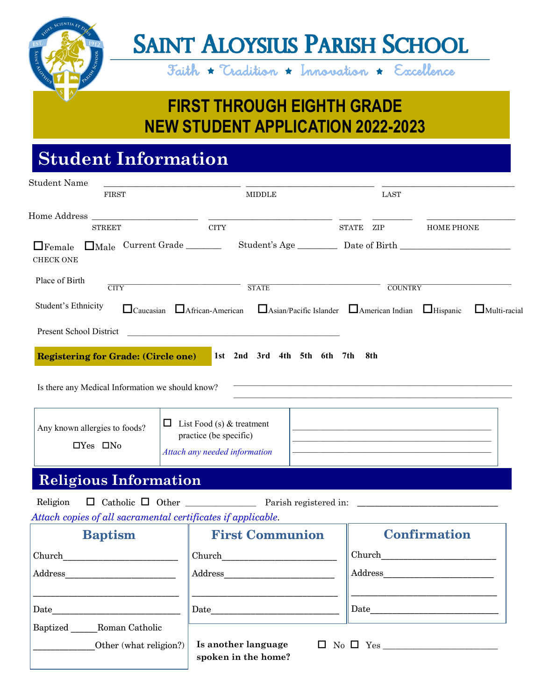

# **SAINT ALOYSIUS PARISH SCHOOL**

Faith  $\star$  Tradition  $\star$  Innovation  $\star$  Excellence

**FIRST THROUGH EIGHTH GRADE NEW STUDENT APPLICATION 2022-2023**

### **Student Information**

| <b>Student Name</b>                                          |                                                                                                                       |                                                                                      |  |             |                     |                                                                                                                                                                                                                                      |                     |
|--------------------------------------------------------------|-----------------------------------------------------------------------------------------------------------------------|--------------------------------------------------------------------------------------|--|-------------|---------------------|--------------------------------------------------------------------------------------------------------------------------------------------------------------------------------------------------------------------------------------|---------------------|
| <b>FIRST</b>                                                 |                                                                                                                       | <b>MIDDLE</b>                                                                        |  | <b>LAST</b> |                     |                                                                                                                                                                                                                                      |                     |
| <b>STREET</b>                                                |                                                                                                                       | $\rm CITY$                                                                           |  |             | STATE ZIP           | <b>HOME PHONE</b>                                                                                                                                                                                                                    |                     |
| Male Current Grade<br>$\Box$ Female<br><b>CHECK ONE</b>      |                                                                                                                       |                                                                                      |  |             |                     |                                                                                                                                                                                                                                      |                     |
| Place of Birth<br>$\overline{\text{CITY}}$                   |                                                                                                                       | <b>STATE</b>                                                                         |  |             | <b>COUNTRY</b>      |                                                                                                                                                                                                                                      |                     |
| Student's Ethnicity                                          |                                                                                                                       | □ Caucasian □ African-American □ Asian/Pacific Islander □ American Indian □ Hispanic |  |             |                     |                                                                                                                                                                                                                                      | $\Box$ Multi-racial |
| Present School District                                      | <u> 2000 - Jan James James James James James James James James James James James James James James James James Ja</u> |                                                                                      |  |             |                     |                                                                                                                                                                                                                                      |                     |
| <b>Registering for Grade: (Circle one)</b>                   |                                                                                                                       | 1st 2nd 3rd 4th 5th 6th 7th                                                          |  |             | 8th                 |                                                                                                                                                                                                                                      |                     |
| Is there any Medical Information we should know?             |                                                                                                                       |                                                                                      |  |             |                     | <u> 1989 - Johann Stoff, deutscher Stoff, der Stoff, der Stoff, der Stoff, der Stoff, der Stoff, der Stoff, der S</u>                                                                                                                |                     |
|                                                              |                                                                                                                       |                                                                                      |  |             |                     |                                                                                                                                                                                                                                      |                     |
| Any known allergies to foods?                                | $\Box$ List Food (s) & treatment<br>practice (be specific)                                                            |                                                                                      |  |             |                     |                                                                                                                                                                                                                                      |                     |
| $\Box$ Yes $\Box$ No                                         |                                                                                                                       | Attach any needed information                                                        |  |             |                     | the control of the control of the control of the control of the control of the control of                                                                                                                                            |                     |
| <b>Religious Information</b>                                 |                                                                                                                       |                                                                                      |  |             |                     |                                                                                                                                                                                                                                      |                     |
| Religion                                                     |                                                                                                                       |                                                                                      |  |             |                     | <u> 1989 - Johann Harry Harry Harry Harry Harry Harry Harry Harry Harry Harry Harry Harry Harry Harry Harry Harry Harry Harry Harry Harry Harry Harry Harry Harry Harry Harry Harry Harry Harry Harry Harry Harry Harry Harry Ha</u> |                     |
| Attach copies of all sacramental certificates if applicable. |                                                                                                                       |                                                                                      |  |             |                     |                                                                                                                                                                                                                                      |                     |
| <b>Baptism</b>                                               |                                                                                                                       | <b>First Communion</b>                                                               |  |             | <b>Confirmation</b> |                                                                                                                                                                                                                                      |                     |
| Church                                                       |                                                                                                                       | Church                                                                               |  |             | Church              |                                                                                                                                                                                                                                      |                     |
| Address                                                      |                                                                                                                       | Address                                                                              |  | Address     |                     |                                                                                                                                                                                                                                      |                     |
|                                                              |                                                                                                                       |                                                                                      |  |             |                     | the control of the control of the control of the control of the control of                                                                                                                                                           |                     |
| Baptized Roman Catholic                                      |                                                                                                                       |                                                                                      |  |             |                     |                                                                                                                                                                                                                                      |                     |
| Other (what religion?)                                       |                                                                                                                       | Is another language<br>spoken in the home?                                           |  |             |                     |                                                                                                                                                                                                                                      |                     |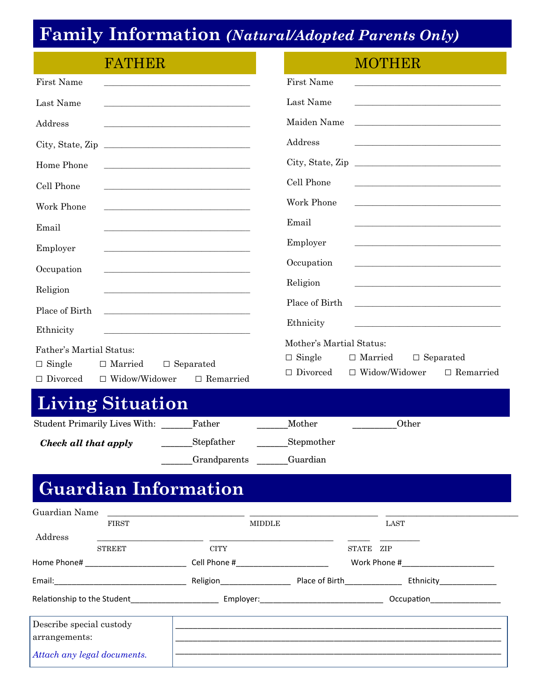# **Family Information** *(Natural/Adopted Parents Only)*

| FATHER                                                                                                 |                                                                                                                                                                         | <b>MOTHER</b>                                                                                                                                                                                                                                |
|--------------------------------------------------------------------------------------------------------|-------------------------------------------------------------------------------------------------------------------------------------------------------------------------|----------------------------------------------------------------------------------------------------------------------------------------------------------------------------------------------------------------------------------------------|
| First Name                                                                                             |                                                                                                                                                                         | First Name                                                                                                                                                                                                                                   |
| Last Name                                                                                              |                                                                                                                                                                         | Last Name                                                                                                                                                                                                                                    |
| Address                                                                                                |                                                                                                                                                                         | Maiden Name<br>the control of the control of the control of the control of the control of the control of the control of the control of the control of the control of the control of the control of the control of the control of the control |
| City, State, Zip                                                                                       |                                                                                                                                                                         | Address<br>the control of the control of the control of the control of the control of the control of                                                                                                                                         |
| Home Phone                                                                                             | <u> 1989 - Johann John Stone, mars et al. (</u>                                                                                                                         |                                                                                                                                                                                                                                              |
| Cell Phone                                                                                             | the control of the control of the control of the control of the control of the control of                                                                               | Cell Phone<br>the control of the control of the control of the control of the control of the control of                                                                                                                                      |
| Work Phone                                                                                             |                                                                                                                                                                         | Work Phone<br>the control of the control of the control of the control of the control of the control of                                                                                                                                      |
| Email                                                                                                  |                                                                                                                                                                         | Email                                                                                                                                                                                                                                        |
| Employer                                                                                               |                                                                                                                                                                         | Employer                                                                                                                                                                                                                                     |
| Occupation                                                                                             | the control of the control of the control of the control of the control of the control of                                                                               | Occupation                                                                                                                                                                                                                                   |
| Religion                                                                                               |                                                                                                                                                                         | Religion                                                                                                                                                                                                                                     |
| Place of Birth                                                                                         | the control of the control of the control of the control of the control of                                                                                              | Place of Birth<br>the control of the control of the control of the control of the control of the control of                                                                                                                                  |
| Ethnicity                                                                                              | the control of the control of the control of the control of the control of the control of<br>the control of the control of the control of the control of the control of | Ethnicity<br><u> 1989 - Johann Stein, mars an deus Amerikaansk kommunister (</u>                                                                                                                                                             |
| Father's Martial Status:<br>$\Box$ Single<br>$\Box$ Married<br>$\Box$ Widow/Widower<br>$\Box$ Divorced | $\Box$ Separated<br>$\Box$ Remarried                                                                                                                                    | Mother's Martial Status:<br>$\Box$ Single<br>$\Box$ Married<br>$\Box$ Separated<br>$\Box$ Divorced<br>$\Box$ Widow/Widower<br>$\Box$ Remarried                                                                                               |
| <b>Living Situation</b>                                                                                |                                                                                                                                                                         |                                                                                                                                                                                                                                              |
| Student Primarily Lives With: Father                                                                   |                                                                                                                                                                         | Other<br>Mother                                                                                                                                                                                                                              |
| Check all that apply                                                                                   | Stepfather<br>Grandparents Guardian                                                                                                                                     | Stepmother                                                                                                                                                                                                                                   |
| <b>Guardian Information</b>                                                                            |                                                                                                                                                                         |                                                                                                                                                                                                                                              |
| Guardian Name                                                                                          | <u> 1980 - Jan Stein Harry Harry Harry Harry Harry Harry Harry Harry Harry Harry Harry Harry Harry Harry Harry Har</u>                                                  |                                                                                                                                                                                                                                              |
| FIRST<br>Address                                                                                       | <b>MIDDLE</b>                                                                                                                                                           | LAST                                                                                                                                                                                                                                         |
| <b>STREET</b>                                                                                          | <b>CITY</b>                                                                                                                                                             | STATE ZIP                                                                                                                                                                                                                                    |
|                                                                                                        |                                                                                                                                                                         |                                                                                                                                                                                                                                              |
|                                                                                                        |                                                                                                                                                                         |                                                                                                                                                                                                                                              |
| Describe special custody<br>arrangements:                                                              |                                                                                                                                                                         |                                                                                                                                                                                                                                              |

\_\_\_\_\_\_\_\_\_\_\_\_\_\_\_\_\_\_\_\_\_\_\_\_\_\_\_\_\_\_\_\_\_\_\_\_\_\_\_\_\_\_\_\_\_\_\_\_\_\_\_\_\_\_\_\_\_\_\_\_\_\_\_\_\_\_\_\_\_\_\_\_\_\_

|  |  |  |  | Attach any legal documents. |
|--|--|--|--|-----------------------------|
|--|--|--|--|-----------------------------|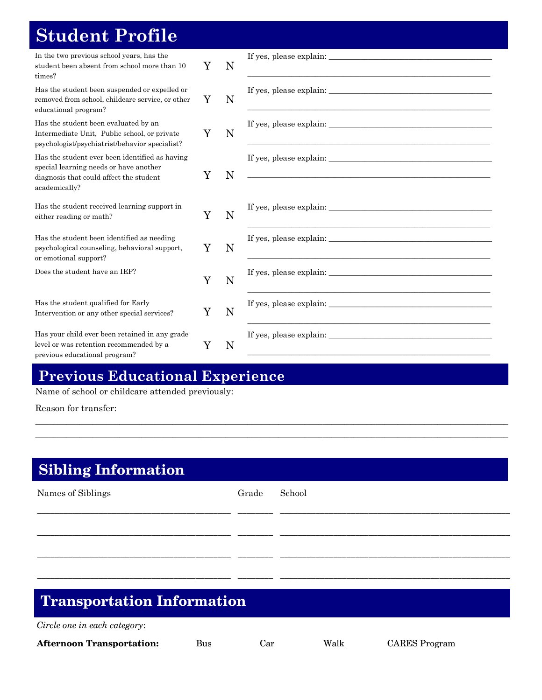## **Student Profile**

| In the two previous school years, has the<br>student been absent from school more than 10<br>times?                                                  | Y | N |                                                                                     |
|------------------------------------------------------------------------------------------------------------------------------------------------------|---|---|-------------------------------------------------------------------------------------|
| Has the student been suspended or expelled or<br>removed from school, childcare service, or other<br>educational program?                            | Y | N |                                                                                     |
| Has the student been evaluated by an<br>Intermediate Unit, Public school, or private<br>psychologist/psychiatrist/behavior specialist?               | Y | N |                                                                                     |
| Has the student ever been identified as having<br>special learning needs or have another<br>diagnosis that could affect the student<br>academically? | Y | N | If yes, please explain:<br><u> 1989 - Johann John Stein, marwolaethau (b. 1989)</u> |
| Has the student received learning support in<br>either reading or math?                                                                              | Y | N |                                                                                     |
| Has the student been identified as needing<br>psychological counseling, behavioral support,<br>or emotional support?                                 | Y | N |                                                                                     |
| Does the student have an IEP?                                                                                                                        | Y | N |                                                                                     |
| Has the student qualified for Early<br>Intervention or any other special services?                                                                   | Y | N |                                                                                     |
| Has your child ever been retained in any grade<br>level or was retention recommended by a<br>previous educational program?                           | Y | N |                                                                                     |

#### **Previous Educational Experience**

Name of school or childcare attended previously:

Reason for transfer:

#### **Sibling Information**

| Names of Siblings | Grade | School |
|-------------------|-------|--------|
|                   |       |        |
|                   |       |        |
|                   |       |        |
| $\sim$            |       |        |

\_\_\_\_\_\_\_\_\_\_\_\_\_\_\_\_\_\_\_\_\_\_\_\_\_\_\_\_\_\_\_\_\_\_\_\_\_\_\_\_\_\_\_\_\_\_\_\_\_\_\_\_\_\_\_\_\_\_\_\_\_\_\_\_\_\_\_\_\_\_\_\_\_\_\_\_\_\_\_\_\_\_\_\_\_\_\_\_\_\_\_\_\_\_\_\_\_\_\_\_\_\_\_\_\_\_\_ \_\_\_\_\_\_\_\_\_\_\_\_\_\_\_\_\_\_\_\_\_\_\_\_\_\_\_\_\_\_\_\_\_\_\_\_\_\_\_\_\_\_\_\_\_\_\_\_\_\_\_\_\_\_\_\_\_\_\_\_\_\_\_\_\_\_\_\_\_\_\_\_\_\_\_\_\_\_\_\_\_\_\_\_\_\_\_\_\_\_\_\_\_\_\_\_\_\_\_\_\_\_\_\_\_\_\_

#### **Transportation Information**

*Circle one in each category*: